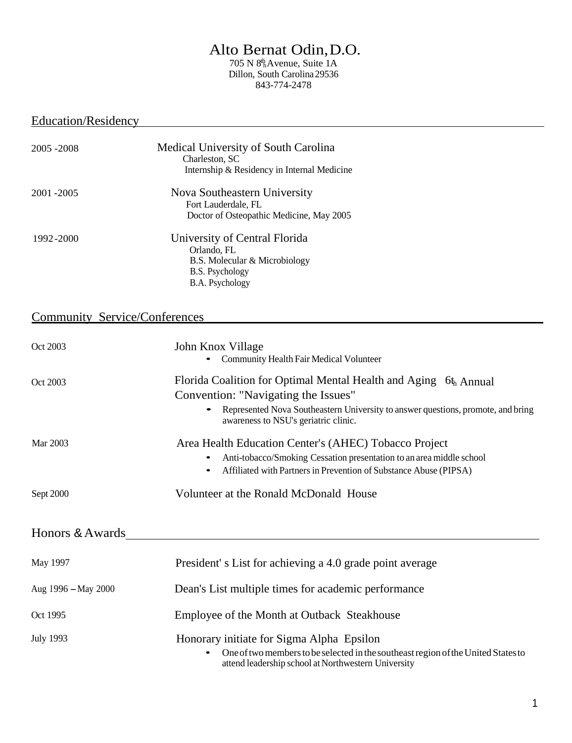# Alto Bernat Odin,D.O.

h 705 N 8th Avenue, Suite 1A Dillon, South Carolina 29536 843-774-2478

## Education/Residency

| 2005 - 2008                          | Medical University of South Carolina<br>Charleston, SC<br>Internship & Residency in Internal Medicine                                                                                                                                |  |
|--------------------------------------|--------------------------------------------------------------------------------------------------------------------------------------------------------------------------------------------------------------------------------------|--|
| 2001-2005                            | Nova Southeastern University<br>Fort Lauderdale, FL<br>Doctor of Osteopathic Medicine, May 2005                                                                                                                                      |  |
| 1992-2000                            | University of Central Florida<br>Orlando, FL<br>B.S. Molecular & Microbiology<br>B.S. Psychology<br>B.A. Psychology                                                                                                                  |  |
| <b>Community Service/Conferences</b> |                                                                                                                                                                                                                                      |  |
| Oct 2003                             | John Knox Village<br>Community Health Fair Medical Volunteer                                                                                                                                                                         |  |
| Oct 2003                             | Florida Coalition for Optimal Mental Health and Aging 6th, Annual<br>Convention: "Navigating the Issues"<br>Represented Nova Southeastern University to answer questions, promote, and bring<br>awareness to NSU's geriatric clinic. |  |
| Mar 2003                             | Area Health Education Center's (AHEC) Tobacco Project<br>Anti-tobacco/Smoking Cessation presentation to an area middle school<br>Affiliated with Partners in Prevention of Substance Abuse (PIPSA)                                   |  |
| Sept 2000                            | Volunteer at the Ronald McDonald House                                                                                                                                                                                               |  |
| Honors & Awards                      |                                                                                                                                                                                                                                      |  |
| <b>May 1997</b>                      | President's List for achieving a 4.0 grade point average                                                                                                                                                                             |  |
| Aug 1996 - May 2000                  | Dean's List multiple times for academic performance                                                                                                                                                                                  |  |
| Oct 1995                             | Employee of the Month at Outback Steakhouse                                                                                                                                                                                          |  |
| <b>July 1993</b>                     | Honorary initiate for Sigma Alpha Epsilon<br>One of two members to be selected in the southeast region of the United States to<br>attend leadership school at Northwestern University                                                |  |